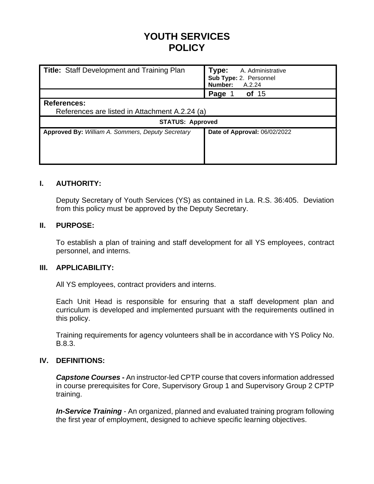# **YOUTH SERVICES POLICY**

| Title: Staff Development and Training Plan                           | Type:<br>A. Administrative<br>Sub Type: 2. Personnel<br>Number:<br>A.2.24 |  |  |  |  |  |
|----------------------------------------------------------------------|---------------------------------------------------------------------------|--|--|--|--|--|
|                                                                      | Page<br>of $15$                                                           |  |  |  |  |  |
| <b>References:</b><br>References are listed in Attachment A.2.24 (a) |                                                                           |  |  |  |  |  |
| <b>STATUS: Approved</b>                                              |                                                                           |  |  |  |  |  |
| Approved By: William A. Sommers, Deputy Secretary                    | Date of Approval: 06/02/2022                                              |  |  |  |  |  |

# **I. AUTHORITY:**

Deputy Secretary of Youth Services (YS) as contained in La. R.S. 36:405. Deviation from this policy must be approved by the Deputy Secretary.

# **II. PURPOSE:**

To establish a plan of training and staff development for all YS employees, contract personnel, and interns.

# **III. APPLICABILITY:**

All YS employees, contract providers and interns.

Each Unit Head is responsible for ensuring that a staff development plan and curriculum is developed and implemented pursuant with the requirements outlined in this policy.

Training requirements for agency volunteers shall be in accordance with YS Policy No. B.8.3.

# **IV. DEFINITIONS:**

*Capstone Courses* **-** An instructor-led CPTP course that covers information addressed in course prerequisites for Core, Supervisory Group 1 and Supervisory Group 2 CPTP training.

*In-Service Training* - An organized, planned and evaluated training program following the first year of employment, designed to achieve specific learning objectives.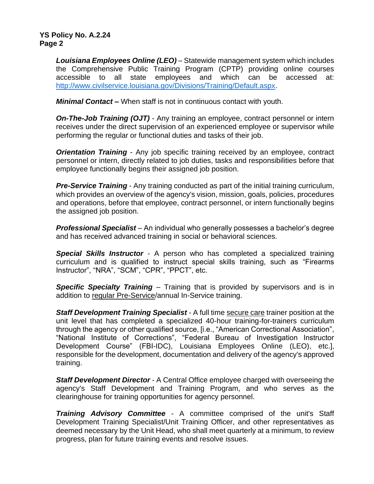*Louisiana Employees Online (LEO)* – Statewide management system which includes the Comprehensive Public Training Program (CPTP) providing online courses accessible to all state employees and which can be accessed at: [http://www.civilservice.louisiana.gov/Divisions/Training/Default.aspx.](http://www.civilservice.louisiana.gov/Divisions/Training/Default.aspx)

*Minimal Contact –* When staff is not in continuous contact with youth.

*On-The-Job Training (OJT)* - Any training an employee, contract personnel or intern receives under the direct supervision of an experienced employee or supervisor while performing the regular or functional duties and tasks of their job.

*Orientation Training* - Any job specific training received by an employee, contract personnel or intern, directly related to job duties, tasks and responsibilities before that employee functionally begins their assigned job position.

*Pre-Service Training* - Any training conducted as part of the initial training curriculum, which provides an overview of the agency's vision, mission, goals, policies, procedures and operations, before that employee, contract personnel, or intern functionally begins the assigned job position.

*Professional Specialist* – An individual who generally possesses a bachelor's degree and has received advanced training in social or behavioral sciences.

*Special Skills Instructor* - A person who has completed a specialized training curriculum and is qualified to instruct special skills training, such as "Firearms Instructor", "NRA", "SCM", "CPR", "PPCT", etc.

*Specific Specialty Training* – Training that is provided by supervisors and is in addition to regular Pre-Service/annual In-Service training.

**Staff Development Training Specialist** - A full time secure care trainer position at the unit level that has completed a specialized 40-hour training-for-trainers curriculum through the agency or other qualified source, [i.e., "American Correctional Association", "National Institute of Corrections", "Federal Bureau of Investigation Instructor Development Course" (FBI-IDC), Louisiana Employees Online (LEO), etc.], responsible for the development, documentation and delivery of the agency's approved training.

*Staff Development Director* - A Central Office employee charged with overseeing the agency's Staff Development and Training Program, and who serves as the clearinghouse for training opportunities for agency personnel.

*Training Advisory Committee* - A committee comprised of the unit's Staff Development Training Specialist/Unit Training Officer, and other representatives as deemed necessary by the Unit Head, who shall meet quarterly at a minimum, to review progress, plan for future training events and resolve issues.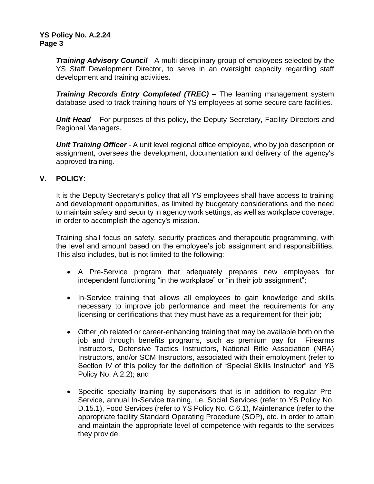*Training Advisory Council* - A multi-disciplinary group of employees selected by the YS Staff Development Director, to serve in an oversight capacity regarding staff development and training activities.

*Training Records Entry Completed (TREC) –* The learning management system database used to track training hours of YS employees at some secure care facilities.

*Unit Head* – For purposes of this policy, the Deputy Secretary, Facility Directors and Regional Managers.

*Unit Training Officer* - A unit level regional office employee, who by job description or assignment, oversees the development, documentation and delivery of the agency's approved training.

# **V. POLICY**:

It is the Deputy Secretary's policy that all YS employees shall have access to training and development opportunities, as limited by budgetary considerations and the need to maintain safety and security in agency work settings, as well as workplace coverage, in order to accomplish the agency's mission.

Training shall focus on safety, security practices and therapeutic programming, with the level and amount based on the employee's job assignment and responsibilities. This also includes, but is not limited to the following:

- A Pre-Service program that adequately prepares new employees for independent functioning "in the workplace" or "in their job assignment";
- In-Service training that allows all employees to gain knowledge and skills necessary to improve job performance and meet the requirements for any licensing or certifications that they must have as a requirement for their job;
- Other job related or career-enhancing training that may be available both on the job and through benefits programs, such as premium pay for Firearms Instructors, Defensive Tactics Instructors, National Rifle Association (NRA) Instructors, and/or SCM Instructors, associated with their employment (refer to Section IV of this policy for the definition of "Special Skills Instructor" and YS Policy No. A.2.2); and
- Specific specialty training by supervisors that is in addition to regular Pre-Service, annual In-Service training, i.e. Social Services (refer to YS Policy No. D.15.1), Food Services (refer to YS Policy No. C.6.1), Maintenance (refer to the appropriate facility Standard Operating Procedure (SOP), etc. in order to attain and maintain the appropriate level of competence with regards to the services they provide.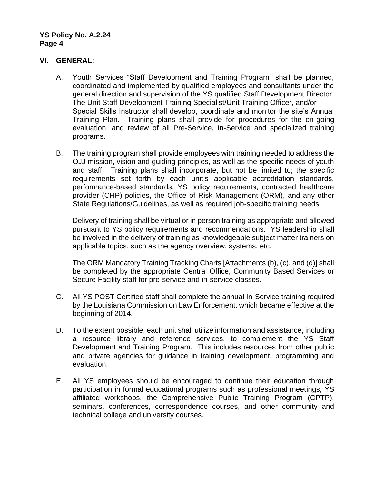# **VI. GENERAL:**

- A. Youth Services "Staff Development and Training Program" shall be planned, coordinated and implemented by qualified employees and consultants under the general direction and supervision of the YS qualified Staff Development Director. The Unit Staff Development Training Specialist/Unit Training Officer, and/or Special Skills Instructor shall develop, coordinate and monitor the site's Annual Training Plan. Training plans shall provide for procedures for the on-going evaluation, and review of all Pre-Service, In-Service and specialized training programs.
- B. The training program shall provide employees with training needed to address the OJJ mission, vision and guiding principles, as well as the specific needs of youth and staff. Training plans shall incorporate, but not be limited to; the specific requirements set forth by each unit's applicable accreditation standards, performance-based standards, YS policy requirements, contracted healthcare provider (CHP) policies, the Office of Risk Management (ORM), and any other State Regulations/Guidelines, as well as required job-specific training needs.

Delivery of training shall be virtual or in person training as appropriate and allowed pursuant to YS policy requirements and recommendations. YS leadership shall be involved in the delivery of training as knowledgeable subject matter trainers on applicable topics, such as the agency overview, systems, etc.

The ORM Mandatory Training Tracking Charts [Attachments (b), (c), and (d)] shall be completed by the appropriate Central Office, Community Based Services or Secure Facility staff for pre-service and in-service classes.

- C. All YS POST Certified staff shall complete the annual In-Service training required by the Louisiana Commission on Law Enforcement, which became effective at the beginning of 2014.
- D. To the extent possible, each unit shall utilize information and assistance, including a resource library and reference services, to complement the YS Staff Development and Training Program. This includes resources from other public and private agencies for guidance in training development, programming and evaluation.
- E. All YS employees should be encouraged to continue their education through participation in formal educational programs such as professional meetings, YS affiliated workshops, the Comprehensive Public Training Program (CPTP), seminars, conferences, correspondence courses, and other community and technical college and university courses.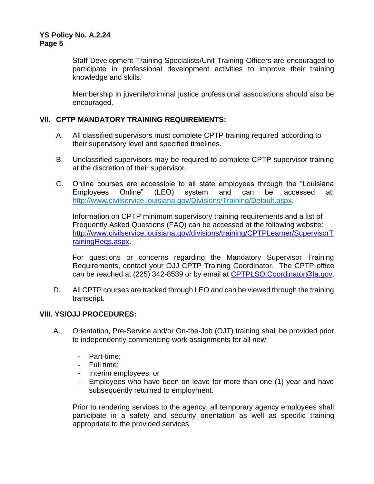Staff Development Training Specialists/Unit Training Officers are encouraged to participate in professional development activities to improve their training knowledge and skills.

Membership in juvenile/criminal justice professional associations should also be encouraged.

# **VII. CPTP MANDATORY TRAINING REQUIREMENTS:**

- A. All classified supervisors must complete CPTP training required according to their supervisory level and specified timelines.
- B. Unclassified supervisors may be required to complete CPTP supervisor training at the discretion of their supervisor.
- C. Online courses are accessible to all state employees through the "Louisiana Employees Online" (LEO) system and can be accessed at: [http://www.civilservice.louisiana.gov/Divisions/Training/Default.aspx.](http://www.civilservice.louisiana.gov/Divisions/Training/Default.aspx)

Information on CPTP minimum supervisory training requirements and a list of Frequently Asked Questions (FAQ) can be accessed at the following website: [http://www.civilservice.louisiana.gov/divisions/training/CPTPLearner/SupervisorT](http://www.civilservice.louisiana.gov/divisions/training/CPTPLearner/SupervisorTrainingReqs.aspx) [rainingReqs.aspx.](http://www.civilservice.louisiana.gov/divisions/training/CPTPLearner/SupervisorTrainingReqs.aspx)

For questions or concerns regarding the Mandatory Supervisor Training Requirements, contact your OJJ CPTP Training Coordinator. The CPTP office can be reached at (225) 342-8539 or by email at [CPTPLSO.Coordinator@la.gov](mailto:CPTPLSO.Coordinator@la.gov).

D. All CPTP courses are tracked through LEO and can be viewed through the training transcript.

# **VIII. YS/OJJ PROCEDURES:**

- A. Orientation, Pre-Service and/or On-the-Job (OJT) training shall be provided prior to independently commencing work assignments for all new:
	- Part-time;
	- Full time;
	- Interim employees; or
	- Employees who have been on leave for more than one (1) year and have subsequently returned to employment.

Prior to rendering services to the agency, all temporary agency employees shall participate in a safety and security orientation as well as specific training appropriate to the provided services.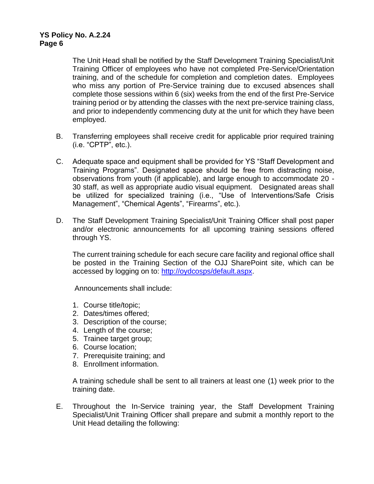The Unit Head shall be notified by the Staff Development Training Specialist/Unit Training Officer of employees who have not completed Pre-Service/Orientation training, and of the schedule for completion and completion dates. Employees who miss any portion of Pre-Service training due to excused absences shall complete those sessions within 6 (six) weeks from the end of the first Pre-Service training period or by attending the classes with the next pre-service training class, and prior to independently commencing duty at the unit for which they have been employed.

- B. Transferring employees shall receive credit for applicable prior required training (i.e. "CPTP", etc.).
- C. Adequate space and equipment shall be provided for YS "Staff Development and Training Programs". Designated space should be free from distracting noise, observations from youth (if applicable), and large enough to accommodate 20 - 30 staff, as well as appropriate audio visual equipment. Designated areas shall be utilized for specialized training (i.e., "Use of Interventions/Safe Crisis Management", "Chemical Agents", "Firearms", etc.).
- D. The Staff Development Training Specialist/Unit Training Officer shall post paper and/or electronic announcements for all upcoming training sessions offered through YS.

The current training schedule for each secure care facility and regional office shall be posted in the Training Section of the OJJ SharePoint site, which can be accessed by logging on to: [http://oydcosps/default.aspx.](http://oydcosps/default.aspx)

Announcements shall include:

- 1. Course title/topic;
- 2. Dates/times offered;
- 3. Description of the course;
- 4. Length of the course;
- 5. Trainee target group;
- 6. Course location;
- 7. Prerequisite training; and
- 8. Enrollment information.

A training schedule shall be sent to all trainers at least one (1) week prior to the training date.

E. Throughout the In-Service training year, the Staff Development Training Specialist/Unit Training Officer shall prepare and submit a monthly report to the Unit Head detailing the following: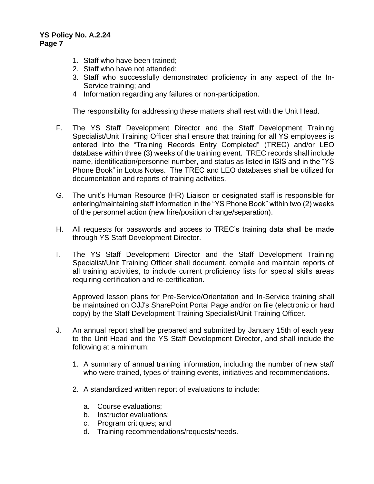- 1. Staff who have been trained;
- 2. Staff who have not attended;
- 3. Staff who successfully demonstrated proficiency in any aspect of the In-Service training; and
- 4 Information regarding any failures or non-participation.

The responsibility for addressing these matters shall rest with the Unit Head.

- F. The YS Staff Development Director and the Staff Development Training Specialist/Unit Training Officer shall ensure that training for all YS employees is entered into the "Training Records Entry Completed" (TREC) and/or LEO database within three (3) weeks of the training event. TREC records shall include name, identification/personnel number, and status as listed in ISIS and in the "YS Phone Book" in Lotus Notes. The TREC and LEO databases shall be utilized for documentation and reports of training activities.
- G. The unit's Human Resource (HR) Liaison or designated staff is responsible for entering/maintaining staff information in the "YS Phone Book" within two (2) weeks of the personnel action (new hire/position change/separation).
- H. All requests for passwords and access to TREC's training data shall be made through YS Staff Development Director.
- I. The YS Staff Development Director and the Staff Development Training Specialist/Unit Training Officer shall document, compile and maintain reports of all training activities, to include current proficiency lists for special skills areas requiring certification and re-certification.

Approved lesson plans for Pre-Service/Orientation and In-Service training shall be maintained on OJJ's SharePoint Portal Page and/or on file (electronic or hard copy) by the Staff Development Training Specialist/Unit Training Officer.

- J. An annual report shall be prepared and submitted by January 15th of each year to the Unit Head and the YS Staff Development Director, and shall include the following at a minimum:
	- 1. A summary of annual training information, including the number of new staff who were trained, types of training events, initiatives and recommendations.
	- 2. A standardized written report of evaluations to include:
		- a. Course evaluations;
		- b. Instructor evaluations;
		- c. Program critiques; and
		- d. Training recommendations/requests/needs.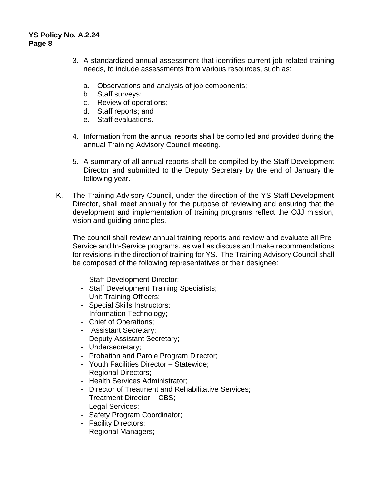- 3. A standardized annual assessment that identifies current job-related training needs, to include assessments from various resources, such as:
	- a. Observations and analysis of job components;
	- b. Staff surveys;
	- c. Review of operations;
	- d. Staff reports; and
	- e. Staff evaluations.
- 4. Information from the annual reports shall be compiled and provided during the annual Training Advisory Council meeting.
- 5. A summary of all annual reports shall be compiled by the Staff Development Director and submitted to the Deputy Secretary by the end of January the following year.
- K. The Training Advisory Council, under the direction of the YS Staff Development Director, shall meet annually for the purpose of reviewing and ensuring that the development and implementation of training programs reflect the OJJ mission, vision and guiding principles.

The council shall review annual training reports and review and evaluate all Pre-Service and In-Service programs, as well as discuss and make recommendations for revisions in the direction of training for YS. The Training Advisory Council shall be composed of the following representatives or their designee:

- Staff Development Director;
- Staff Development Training Specialists;
- Unit Training Officers;
- Special Skills Instructors;
- Information Technology;
- Chief of Operations;
- Assistant Secretary;
- Deputy Assistant Secretary;
- Undersecretary;
- Probation and Parole Program Director;
- Youth Facilities Director Statewide;
- Regional Directors;
- Health Services Administrator;
- Director of Treatment and Rehabilitative Services;
- Treatment Director CBS;
- Legal Services;
- Safety Program Coordinator;
- Facility Directors;
- Regional Managers;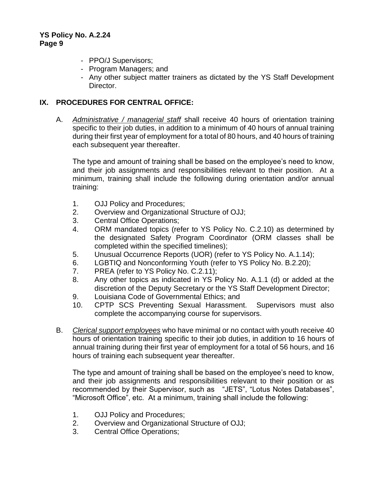- PPO/J Supervisors;
- Program Managers; and
- Any other subject matter trainers as dictated by the YS Staff Development Director.

# **IX. PROCEDURES FOR CENTRAL OFFICE:**

A. *Administrative / managerial staff* shall receive 40 hours of orientation training specific to their job duties, in addition to a minimum of 40 hours of annual training during their first year of employment for a total of 80 hours, and 40 hours of training each subsequent year thereafter.

The type and amount of training shall be based on the employee's need to know, and their job assignments and responsibilities relevant to their position. At a minimum, training shall include the following during orientation and/or annual training:

- 1. OJJ Policy and Procedures;
- 2. Overview and Organizational Structure of OJJ;
- 3. Central Office Operations;
- 4. ORM mandated topics (refer to YS Policy No. C.2.10) as determined by the designated Safety Program Coordinator (ORM classes shall be completed within the specified timelines);
- 5. Unusual Occurrence Reports (UOR) (refer to YS Policy No. A.1.14);
- 6. LGBTIQ and Nonconforming Youth (refer to YS Policy No. B.2.20);
- 7. PREA (refer to YS Policy No. C.2.11);
- 8. Any other topics as indicated in YS Policy No. A.1.1 (d) or added at the discretion of the Deputy Secretary or the YS Staff Development Director;
- 9. Louisiana Code of Governmental Ethics; and
- 10. CPTP SCS Preventing Sexual Harassment. Supervisors must also complete the accompanying course for supervisors.
- B. *Clerical support employees* who have minimal or no contact with youth receive 40 hours of orientation training specific to their job duties, in addition to 16 hours of annual training during their first year of employment for a total of 56 hours, and 16 hours of training each subsequent year thereafter.

The type and amount of training shall be based on the employee's need to know, and their job assignments and responsibilities relevant to their position or as recommended by their Supervisor, such as "JETS", "Lotus Notes Databases", "Microsoft Office", etc. At a minimum, training shall include the following:

- 1. OJJ Policy and Procedures;
- 2. Overview and Organizational Structure of OJJ;
- 3. Central Office Operations;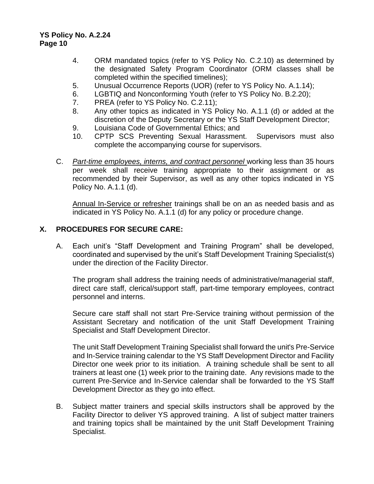- 4. ORM mandated topics (refer to YS Policy No. C.2.10) as determined by the designated Safety Program Coordinator (ORM classes shall be completed within the specified timelines);
- 5. Unusual Occurrence Reports (UOR) (refer to YS Policy No. A.1.14);
- 6. LGBTIQ and Nonconforming Youth (refer to YS Policy No. B.2.20);
- 7. PREA (refer to YS Policy No. C.2.11);
- 8. Any other topics as indicated in YS Policy No. A.1.1 (d) or added at the discretion of the Deputy Secretary or the YS Staff Development Director;
- 9. Louisiana Code of Governmental Ethics; and
- 10. CPTP SCS Preventing Sexual Harassment. Supervisors must also complete the accompanying course for supervisors.
- C. *Part-time employees, interns, and contract personnel* working less than 35 hours per week shall receive training appropriate to their assignment or as recommended by their Supervisor, as well as any other topics indicated in YS Policy No. A.1.1 (d).

Annual In-Service or refresher trainings shall be on an as needed basis and as indicated in YS Policy No. A.1.1 (d) for any policy or procedure change.

# **X. PROCEDURES FOR SECURE CARE:**

A. Each unit's "Staff Development and Training Program" shall be developed, coordinated and supervised by the unit's Staff Development Training Specialist(s) under the direction of the Facility Director.

The program shall address the training needs of administrative/managerial staff, direct care staff, clerical/support staff, part-time temporary employees, contract personnel and interns.

Secure care staff shall not start Pre-Service training without permission of the Assistant Secretary and notification of the unit Staff Development Training Specialist and Staff Development Director.

The unit Staff Development Training Specialist shall forward the unit's Pre-Service and In-Service training calendar to the YS Staff Development Director and Facility Director one week prior to its initiation. A training schedule shall be sent to all trainers at least one (1) week prior to the training date. Any revisions made to the current Pre-Service and In-Service calendar shall be forwarded to the YS Staff Development Director as they go into effect.

B. Subject matter trainers and special skills instructors shall be approved by the Facility Director to deliver YS approved training. A list of subject matter trainers and training topics shall be maintained by the unit Staff Development Training Specialist.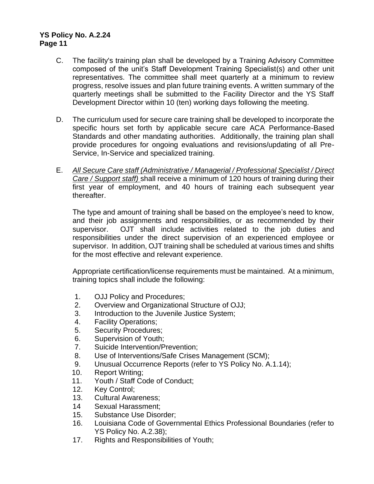- C. The facility's training plan shall be developed by a Training Advisory Committee composed of the unit's Staff Development Training Specialist(s) and other unit representatives. The committee shall meet quarterly at a minimum to review progress, resolve issues and plan future training events. A written summary of the quarterly meetings shall be submitted to the Facility Director and the YS Staff Development Director within 10 (ten) working days following the meeting.
- D. The curriculum used for secure care training shall be developed to incorporate the specific hours set forth by applicable secure care ACA Performance-Based Standards and other mandating authorities. Additionally, the training plan shall provide procedures for ongoing evaluations and revisions/updating of all Pre-Service, In-Service and specialized training.
- E. *All Secure Care staff (Administrative / Managerial / Professional Specialist / Direct Care / Support staff)* shall receive a minimum of 120 hours of training during their first year of employment, and 40 hours of training each subsequent year thereafter.

The type and amount of training shall be based on the employee's need to know, and their job assignments and responsibilities, or as recommended by their supervisor. OJT shall include activities related to the job duties and responsibilities under the direct supervision of an experienced employee or supervisor. In addition, OJT training shall be scheduled at various times and shifts for the most effective and relevant experience.

Appropriate certification/license requirements must be maintained. At a minimum, training topics shall include the following:

- 1. OJJ Policy and Procedures;
- 2. Overview and Organizational Structure of OJJ;
- 3. Introduction to the Juvenile Justice System;
- 4. Facility Operations;
- 5. Security Procedures;
- 6. Supervision of Youth;
- 7. Suicide Intervention/Prevention;
- 8. Use of Interventions/Safe Crises Management (SCM);
- 9. Unusual Occurrence Reports (refer to YS Policy No. A.1.14);
- 10. Report Writing;
- 11. Youth / Staff Code of Conduct;
- 12. Key Control;
- 13. Cultural Awareness;
- 14 Sexual Harassment;
- 15. Substance Use Disorder;
- 16. Louisiana Code of Governmental Ethics Professional Boundaries (refer to YS Policy No. A.2.38);
- 17. Rights and Responsibilities of Youth;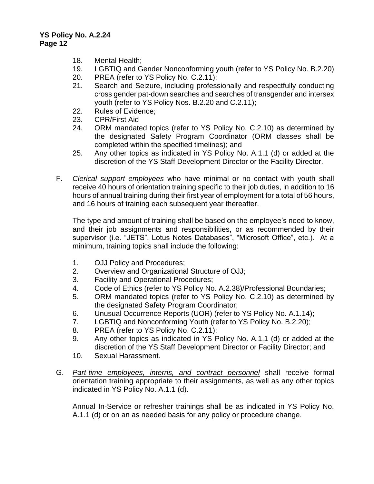- 18. Mental Health;
- 19. LGBTIQ and Gender Nonconforming youth (refer to YS Policy No. B.2.20)
- 20. PREA (refer to YS Policy No. C.2.11);
- 21. Search and Seizure, including professionally and respectfully conducting cross gender pat-down searches and searches of transgender and intersex youth (refer to YS Policy Nos. B.2.20 and C.2.11);
- 22. Rules of Evidence;
- 23. CPR/First Aid
- 24. ORM mandated topics (refer to YS Policy No. C.2.10) as determined by the designated Safety Program Coordinator (ORM classes shall be completed within the specified timelines); and
- 25. Any other topics as indicated in YS Policy No. A.1.1 (d) or added at the discretion of the YS Staff Development Director or the Facility Director.
- F. *Clerical support employees* who have minimal or no contact with youth shall receive 40 hours of orientation training specific to their job duties, in addition to 16 hours of annual training during their first year of employment for a total of 56 hours, and 16 hours of training each subsequent year thereafter.

The type and amount of training shall be based on the employee's need to know, and their job assignments and responsibilities, or as recommended by their supervisor (i.e. "JETS", Lotus Notes Databases", "Microsoft Office", etc.). At a minimum, training topics shall include the following:

- 1. OJJ Policy and Procedures;
- 2. Overview and Organizational Structure of OJJ;
- 3. Facility and Operational Procedures;
- 4. Code of Ethics (refer to YS Policy No. A.2.38)/Professional Boundaries;
- 5. ORM mandated topics (refer to YS Policy No. C.2.10) as determined by the designated Safety Program Coordinator;
- 6. Unusual Occurrence Reports (UOR) (refer to YS Policy No. A.1.14);
- 7. LGBTIQ and Nonconforming Youth (refer to YS Policy No. B.2.20);
- 8. PREA (refer to YS Policy No. C.2.11);
- 9. Any other topics as indicated in YS Policy No. A.1.1 (d) or added at the discretion of the YS Staff Development Director or Facility Director; and
- 10. Sexual Harassment.
- G. *Part-time employees, interns, and contract personnel* shall receive formal orientation training appropriate to their assignments, as well as any other topics indicated in YS Policy No. A.1.1 (d).

Annual In-Service or refresher trainings shall be as indicated in YS Policy No. A.1.1 (d) or on an as needed basis for any policy or procedure change.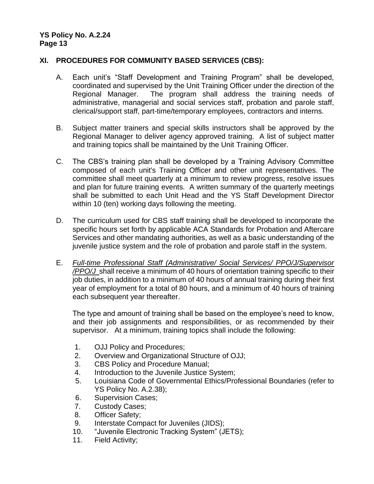# **XI. PROCEDURES FOR COMMUNITY BASED SERVICES (CBS):**

- A. Each unit's "Staff Development and Training Program" shall be developed, coordinated and supervised by the Unit Training Officer under the direction of the Regional Manager. The program shall address the training needs of administrative, managerial and social services staff, probation and parole staff, clerical/support staff, part-time/temporary employees, contractors and interns.
- B. Subject matter trainers and special skills instructors shall be approved by the Regional Manager to deliver agency approved training. A list of subject matter and training topics shall be maintained by the Unit Training Officer.
- C. The CBS's training plan shall be developed by a Training Advisory Committee composed of each unit's Training Officer and other unit representatives. The committee shall meet quarterly at a minimum to review progress, resolve issues and plan for future training events. A written summary of the quarterly meetings shall be submitted to each Unit Head and the YS Staff Development Director within 10 (ten) working days following the meeting.
- D. The curriculum used for CBS staff training shall be developed to incorporate the specific hours set forth by applicable ACA Standards for Probation and Aftercare Services and other mandating authorities, as well as a basic understanding of the juvenile justice system and the role of probation and parole staff in the system.
- E. *Full-time Professional Staff (Administrative/ Social Services/ PPO/J/Supervisor /PPO/J* shall receive a minimum of 40 hours of orientation training specific to their job duties, in addition to a minimum of 40 hours of annual training during their first year of employment for a total of 80 hours, and a minimum of 40 hours of training each subsequent year thereafter.

The type and amount of training shall be based on the employee's need to know, and their job assignments and responsibilities, or as recommended by their supervisor. At a minimum, training topics shall include the following:

- 1. OJJ Policy and Procedures;
- 2. Overview and Organizational Structure of OJJ;
- 3. CBS Policy and Procedure Manual;
- 4. Introduction to the Juvenile Justice System;
- 5. Louisiana Code of Governmental Ethics/Professional Boundaries (refer to YS Policy No. A.2.38);
- 6. Supervision Cases;
- 7. Custody Cases;
- 8. Officer Safety;
- 9. Interstate Compact for Juveniles (JIDS);
- 10. "Juvenile Electronic Tracking System" (JETS);
- 11. Field Activity;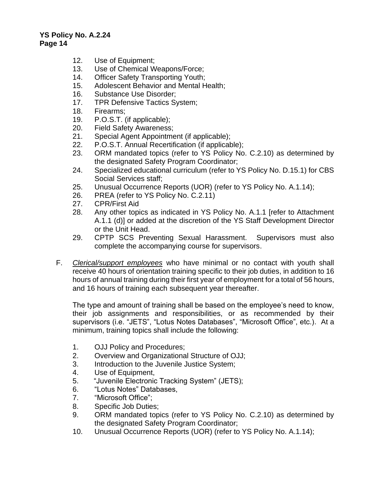- 12. Use of Equipment;
- 13. Use of Chemical Weapons/Force;
- 14. Officer Safety Transporting Youth;
- 15. Adolescent Behavior and Mental Health;
- 16. Substance Use Disorder;
- 17. TPR Defensive Tactics System;
- 18. Firearms;
- 19. P.O.S.T. (if applicable);
- 20. Field Safety Awareness;
- 21. Special Agent Appointment (if applicable);
- 22. P.O.S.T. Annual Recertification (if applicable);
- 23. ORM mandated topics (refer to YS Policy No. C.2.10) as determined by the designated Safety Program Coordinator;
- 24. Specialized educational curriculum (refer to YS Policy No. D.15.1) for CBS Social Services staff;
- 25. Unusual Occurrence Reports (UOR) (refer to YS Policy No. A.1.14);
- 26. PREA (refer to YS Policy No. C.2.11)
- 27. CPR/First Aid
- 28. Any other topics as indicated in YS Policy No. A.1.1 [refer to Attachment A.1.1 (d)] or added at the discretion of the YS Staff Development Director or the Unit Head.
- 29. CPTP SCS Preventing Sexual Harassment. Supervisors must also complete the accompanying course for supervisors.
- F. *Clerical/support employees* who have minimal or no contact with youth shall receive 40 hours of orientation training specific to their job duties, in addition to 16 hours of annual training during their first year of employment for a total of 56 hours, and 16 hours of training each subsequent year thereafter.

The type and amount of training shall be based on the employee's need to know, their job assignments and responsibilities, or as recommended by their supervisors (i.e. "JETS", "Lotus Notes Databases", "Microsoft Office", etc.). At a minimum, training topics shall include the following:

- 1. OJJ Policy and Procedures;
- 2. Overview and Organizational Structure of OJJ;
- 3. Introduction to the Juvenile Justice System;
- 4. Use of Equipment,
- 5. "Juvenile Electronic Tracking System" (JETS);
- 6. "Lotus Notes" Databases,
- 7. "Microsoft Office";
- 8. Specific Job Duties;
- 9. ORM mandated topics (refer to YS Policy No. C.2.10) as determined by the designated Safety Program Coordinator;
- 10. Unusual Occurrence Reports (UOR) (refer to YS Policy No. A.1.14);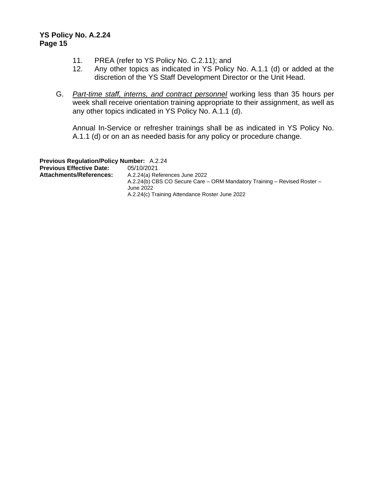- 11. PREA (refer to YS Policy No. C.2.11); and
- 12. Any other topics as indicated in YS Policy No. A.1.1 (d) or added at the discretion of the YS Staff Development Director or the Unit Head.
- G. *Part-time staff, interns, and contract personnel* working less than 35 hours per week shall receive orientation training appropriate to their assignment, as well as any other topics indicated in YS Policy No. A.1.1 (d).

Annual In-Service or refresher trainings shall be as indicated in YS Policy No. A.1.1 (d) or on an as needed basis for any policy or procedure change.

**Previous Regulation/Policy Number:** A.2.24 **Previous Effective Date:** 05/10/2021 A.2.24(a) References June 2022 A.2.24(b) CBS CO Secure Care – ORM Mandatory Training – Revised Roster – June 2022 A.2.24(c) Training Attendance Roster June 2022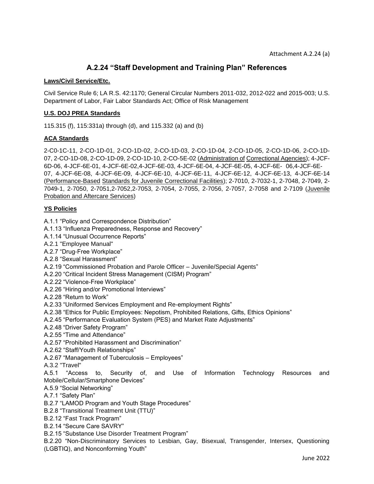# **A.2.24 "Staff Development and Training Plan" References**

#### **Laws/Civil Service/Etc.**

Civil Service Rule 6; LA R.S. 42:1170; General Circular Numbers 2011-032, 2012-022 and 2015-003; U.S. Department of Labor, Fair Labor Standards Act; Office of Risk Management

#### **U.S. DOJ PREA Standards**

115.315 (f), 115:331a) through (d), and 115.332 (a) and (b)

#### **ACA Standards**

2-C0-1C-11, 2-CO-1D-01, 2-CO-1D-02, 2-CO-1D-03, 2-CO-1D-04, 2-CO-1D-05, 2-CO-1D-06, 2-CO-1D-07, 2-CO-1D-08, 2-CO-1D-09, 2-CO-1D-10, 2-CO-5E-02 (Administration of Correctional Agencies); 4-JCF-6D-06, 4-JCF-6E-01, 4-JCF-6E-02,4-JCF-6E-03, 4-JCF-6E-04, 4-JCF-6E-05, 4-JCF-6E- 06,4-JCF-6E-07, 4-JCF-6E-08, 4-JCF-6E-09, 4-JCF-6E-10, 4-JCF-6E-11, 4-JCF-6E-12, 4-JCF-6E-13, 4-JCF-6E-14 (Performance-Based Standards for Juvenile Correctional Facilities); 2-7010, 2-7032-1, 2-7048, 2-7049, 2- 7049-1, 2-7050, 2-7051,2-7052,2-7053, 2-7054, 2-7055, 2-7056, 2-7057, 2-7058 and 2-7109 (Juvenile Probation and Aftercare Services)

#### **YS Policies**

- A.1.1 "Policy and Correspondence Distribution"
- A.1.13 "Influenza Preparedness, Response and Recovery"
- A.1.14 "Unusual Occurrence Reports"
- A.2.1 "Employee Manual"
- A.2.7 "Drug-Free Workplace"
- A.2.8 "Sexual Harassment"
- A.2.19 "Commissioned Probation and Parole Officer Juvenile/Special Agents"
- A.2.20 "Critical Incident Stress Management (CISM) Program"
- A.2.22 "Violence-Free Workplace"
- A.2.26 "Hiring and/or Promotional Interviews"
- A.2.28 "Return to Work"
- A.2.33 "Uniformed Services Employment and Re-employment Rights"
- A.2.38 "Ethics for Public Employees: Nepotism, Prohibited Relations, Gifts, Ethics Opinions"
- A.2.45 "Performance Evaluation System (PES) and Market Rate Adjustments"
- A.2.48 "Driver Safety Program"
- A.2.55 "Time and Attendance"
- A.2.57 "Prohibited Harassment and Discrimination"
- A.2.62 "Staff/Youth Relationships"
- A.2.67 "Management of Tuberculosis Employees"
- A.3.2 "Travel"

A.5.1 "Access to, Security of, and Use of Information Technology Resources and Mobile/Cellular/Smartphone Devices"

- A.5.9 "Social Networking"
- A.7.1 "Safety Plan"
- B.2.7 "LAMOD Program and Youth Stage Procedures"
- B.2.8 "Transitional Treatment Unit (TTU)"
- B.2.12 "Fast Track Program"
- B.2.14 "Secure Care SAVRY"
- B.2.15 "Substance Use Disorder Treatment Program"

B.2.20 "Non-Discriminatory Services to Lesbian, Gay, Bisexual, Transgender, Intersex, Questioning (LGBTIQ), and Nonconforming Youth"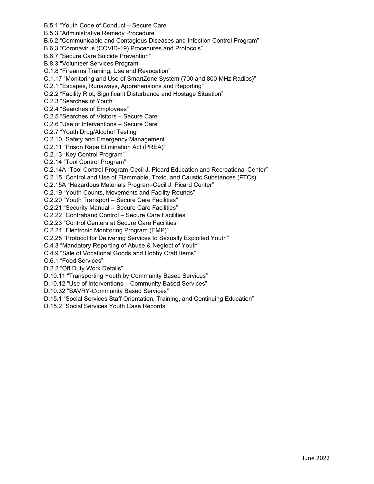- B.5.1 "Youth Code of Conduct Secure Care"
- B.5.3 "Administrative Remedy Procedure"
- B.6.2 "Communicable and Contagious Diseases and Infection Control Program"
- B.6.3 "Coronavirus (COVID-19) Procedures and Protocols"
- B.6.7 "Secure Care Suicide Prevention"
- B.8.3 "Volunteer Services Program"
- C.1.8 "Firearms Training, Use and Revocation"
- C.1.17 "Monitoring and Use of SmartZone System (700 and 800 MHz Radios)"
- C.2.1 "Escapes, Runaways, Apprehensions and Reporting"
- C.2.2 "Facility Riot, Significant Disturbance and Hostage Situation"
- C.2.3 "Searches of Youth"
- C.2.4 "Searches of Employees"
- C.2.5 "Searches of Visitors Secure Care"
- C.2.6 "Use of Interventions Secure Care"
- C.2.7 "Youth Drug/Alcohol Testing"
- C.2.10 "Safety and Emergency Management"
- C.2.11 "Prison Rape Elimination Act (PREA)"
- C.2.13 "Key Control Program"
- C.2.14 "Tool Control Program"
- C.2.14A "Tool Control Program-Cecil J. Picard Education and Recreational Center"
- C.2.15 "Control and Use of Flammable, Toxic, and Caustic Substances (FTCs)"
- C.2.15A "Hazardous Materials Program-Cecil J. Picard Center"
- C.2.19 "Youth Counts, Movements and Facility Rounds"
- C.2.20 "Youth Transport Secure Care Facilities"
- C.2.21 "Security Manual Secure Care Facilities"
- C.2.22 "Contraband Control Secure Care Facilities"
- C.2.23 "Control Centers at Secure Care Facilities"
- C.2.24 "Electronic Monitoring Program (EMP)"
- C.2.25 "Protocol for Delivering Services to Sexually Exploited Youth"
- C.4.3 "Mandatory Reporting of Abuse & Neglect of Youth"
- C.4.9 "Sale of Vocational Goods and Hobby Craft Items"
- C.6.1 "Food Services"
- D.2.2 "Off Duty Work Details"
- D.10.11 "Transporting Youth by Community Based Services"
- D.10.12 "Use of Interventions Community Based Services"
- D.10.32 "SAVRY-Community Based Services"
- D.15.1 "Social Services Staff Orientation, Training, and Continuing Education"
- D.15.2 "Social Services Youth Case Records"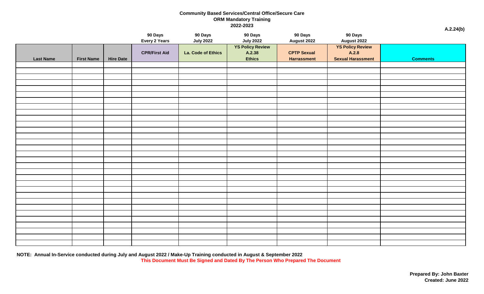# **Community Based Services/Central Office/Secure Care ORM Mandatory Training 2022-2023 A.2.24(b)**

|                  |                   |                  | 90 Days<br>Every 2 Years | 90 Days<br><b>July 2022</b> | 90 Days<br><b>July 2022</b>                        | 90 Days<br><b>August 2022</b>            | 90 Days<br><b>August 2022</b>                                | $\sim$          |
|------------------|-------------------|------------------|--------------------------|-----------------------------|----------------------------------------------------|------------------------------------------|--------------------------------------------------------------|-----------------|
| <b>Last Name</b> | <b>First Name</b> | <b>Hire Date</b> | <b>CPR/First Aid</b>     | La. Code of Ethics          | <b>YS Policy Review</b><br>A.2.38<br><b>Ethics</b> | <b>CPTP Sexual</b><br><b>Harrassment</b> | <b>YS Policy Review</b><br>A.2.8<br><b>Sexual Harassment</b> | <b>Comments</b> |
|                  |                   |                  |                          |                             |                                                    |                                          |                                                              |                 |
|                  |                   |                  |                          |                             |                                                    |                                          |                                                              |                 |
|                  |                   |                  |                          |                             |                                                    |                                          |                                                              |                 |
|                  |                   |                  |                          |                             |                                                    |                                          |                                                              |                 |
|                  |                   |                  |                          |                             |                                                    |                                          |                                                              |                 |
|                  |                   |                  |                          |                             |                                                    |                                          |                                                              |                 |
|                  |                   |                  |                          |                             |                                                    |                                          |                                                              |                 |
|                  |                   |                  |                          |                             |                                                    |                                          |                                                              |                 |
|                  |                   |                  |                          |                             |                                                    |                                          |                                                              |                 |
|                  |                   |                  |                          |                             |                                                    |                                          |                                                              |                 |
|                  |                   |                  |                          |                             |                                                    |                                          |                                                              |                 |
|                  |                   |                  |                          |                             |                                                    |                                          |                                                              |                 |
|                  |                   |                  |                          |                             |                                                    |                                          |                                                              |                 |
|                  |                   |                  |                          |                             |                                                    |                                          |                                                              |                 |
|                  |                   |                  |                          |                             |                                                    |                                          |                                                              |                 |
|                  |                   |                  |                          |                             |                                                    |                                          |                                                              |                 |
|                  |                   |                  |                          |                             |                                                    |                                          |                                                              |                 |
|                  |                   |                  |                          |                             |                                                    |                                          |                                                              |                 |
|                  |                   |                  |                          |                             |                                                    |                                          |                                                              |                 |
|                  |                   |                  |                          |                             |                                                    |                                          |                                                              |                 |
|                  |                   |                  |                          |                             |                                                    |                                          |                                                              |                 |
|                  |                   |                  |                          |                             |                                                    |                                          |                                                              |                 |
|                  |                   |                  |                          |                             |                                                    |                                          |                                                              |                 |
|                  |                   |                  |                          |                             |                                                    |                                          |                                                              |                 |
|                  |                   |                  |                          |                             |                                                    |                                          |                                                              |                 |
|                  |                   |                  |                          |                             |                                                    |                                          |                                                              |                 |
|                  |                   |                  |                          |                             |                                                    |                                          |                                                              |                 |
|                  |                   |                  |                          |                             |                                                    |                                          |                                                              |                 |
|                  |                   |                  |                          |                             |                                                    |                                          |                                                              |                 |

**NOTE: Annual In-Service conducted during July and August 2022 / Make-Up Training conducted in August & September 2022 This Document Must Be Signed and Dated By The Person Who Prepared The Document**